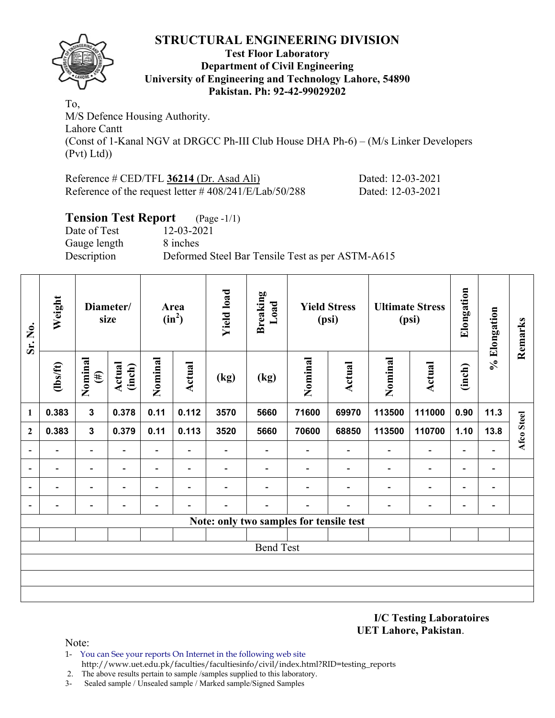

#### **Test Floor Laboratory Department of Civil Engineering University of Engineering and Technology Lahore, 54890 Pakistan. Ph: 92-42-99029202**

To, M/S Defence Housing Authority. Lahore Cantt (Const of 1-Kanal NGV at DRGCC Ph-III Club House DHA Ph-6) – (M/s Linker Developers (Pvt) Ltd))

Reference # CED/TFL **36214** (Dr. Asad Ali) Dated: 12-03-2021 Reference of the request letter # 408/241/E/Lab/50/288 Dated: 12-03-2021

## **Tension Test Report** (Page -1/1) Date of Test 12-03-2021 Gauge length 8 inches Description Deformed Steel Bar Tensile Test as per ASTM-A615

| Sr. No.                  | Weight                   |                          | Diameter/<br>size        |                          | Area<br>$(in^2)$         | <b>Yield load</b>        | <b>Breaking</b><br>Load                 |         | <b>Yield Stress</b><br>(psi) |                          | <b>Ultimate Stress</b><br>(psi) | Elongation               | % Elongation             | Remarks    |
|--------------------------|--------------------------|--------------------------|--------------------------|--------------------------|--------------------------|--------------------------|-----------------------------------------|---------|------------------------------|--------------------------|---------------------------------|--------------------------|--------------------------|------------|
|                          | $\frac{2}{10}$           | Nominal<br>$(\#)$        | Actual<br>(inch)         | Nominal                  | <b>Actual</b>            | (kg)                     | (kg)                                    | Nominal | <b>Actual</b>                | Nominal                  | <b>Actual</b>                   | (inch)                   |                          |            |
| $\mathbf{1}$             | 0.383                    | $\mathbf{3}$             | 0.378                    | 0.11                     | 0.112                    | 3570                     | 5660                                    | 71600   | 69970                        | 113500                   | 111000                          | 0.90                     | 11.3                     |            |
| $\mathbf{2}$             | 0.383                    | $\mathbf{3}$             | 0.379                    | 0.11                     | 0.113                    | 3520                     | 5660                                    | 70600   | 68850                        | 113500                   | 110700                          | 1.10                     | 13.8                     | Afco Steel |
|                          | $\overline{\phantom{0}}$ | $\overline{\phantom{a}}$ | $\blacksquare$           | $\overline{\phantom{a}}$ | $\overline{\phantom{0}}$ | $\overline{\phantom{0}}$ |                                         |         | $\overline{\phantom{a}}$     | $\blacksquare$           | $\overline{\phantom{a}}$        | $\blacksquare$           | $\overline{\phantom{a}}$ |            |
|                          | $\overline{\phantom{0}}$ | $\overline{\phantom{0}}$ | $\overline{\phantom{0}}$ | $\overline{\phantom{0}}$ | $\overline{\phantom{a}}$ | -                        | $\blacksquare$                          |         | $\blacksquare$               | $\blacksquare$           | $\overline{\phantom{a}}$        | $\blacksquare$           | $\blacksquare$           |            |
| $\overline{\phantom{0}}$ | -                        | $\overline{\phantom{0}}$ |                          | $\overline{\phantom{0}}$ | $\overline{\phantom{0}}$ | -                        |                                         |         |                              | $\overline{\phantom{0}}$ | $\overline{\phantom{0}}$        | $\overline{\phantom{0}}$ | $\overline{a}$           |            |
| $\blacksquare$           | $\overline{\phantom{0}}$ | -                        |                          | $\overline{\phantom{0}}$ |                          |                          |                                         |         |                              |                          | $\qquad \qquad \blacksquare$    | -                        | $\overline{\phantom{a}}$ |            |
|                          |                          |                          |                          |                          |                          |                          | Note: only two samples for tensile test |         |                              |                          |                                 |                          |                          |            |
|                          |                          |                          |                          |                          |                          |                          |                                         |         |                              |                          |                                 |                          |                          |            |
|                          |                          |                          |                          |                          |                          |                          | <b>Bend Test</b>                        |         |                              |                          |                                 |                          |                          |            |
|                          |                          |                          |                          |                          |                          |                          |                                         |         |                              |                          |                                 |                          |                          |            |
|                          |                          |                          |                          |                          |                          |                          |                                         |         |                              |                          |                                 |                          |                          |            |
|                          |                          |                          |                          |                          |                          |                          |                                         |         |                              |                          |                                 |                          |                          |            |

**I/C Testing Laboratoires UET Lahore, Pakistan**.

- 1- You can See your reports On Internet in the following web site http://www.uet.edu.pk/faculties/facultiesinfo/civil/index.html?RID=testing\_reports
- 2. The above results pertain to sample /samples supplied to this laboratory.
- 3- Sealed sample / Unsealed sample / Marked sample/Signed Samples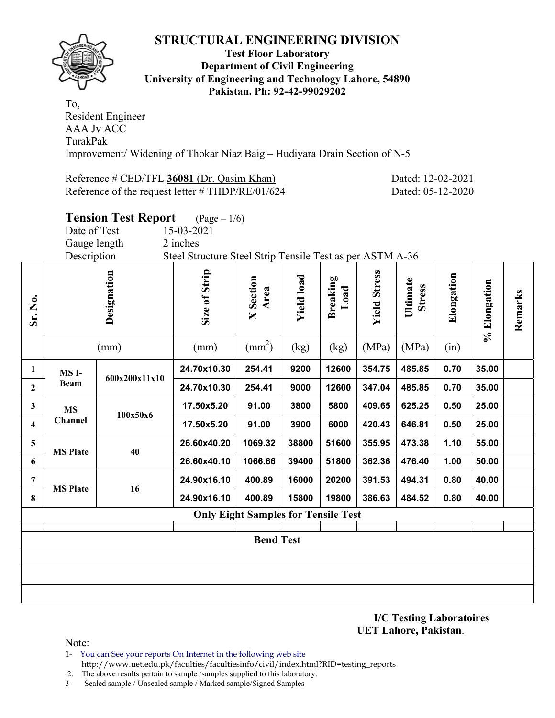

#### **Test Floor Laboratory Department of Civil Engineering University of Engineering and Technology Lahore, 54890 Pakistan. Ph: 92-42-99029202**

To, Resident Engineer AAA Jv ACC TurakPak Improvement/ Widening of Thokar Niaz Baig – Hudiyara Drain Section of N-5

Reference # CED/TFL 36081 (Dr. Qasim Khan) Dated: 12-02-2021 Reference of the request letter # THDP/RE/01/624 Dated: 05-12-2020

|                         |                   | <b>Tension Test Report</b> | $(\text{Page} - 1/6)$                                     |                                            |                   |                         |                     |                           |            |              |         |
|-------------------------|-------------------|----------------------------|-----------------------------------------------------------|--------------------------------------------|-------------------|-------------------------|---------------------|---------------------------|------------|--------------|---------|
|                         | Date of Test      |                            | 15-03-2021                                                |                                            |                   |                         |                     |                           |            |              |         |
|                         | Gauge length      |                            | 2 inches                                                  |                                            |                   |                         |                     |                           |            |              |         |
|                         | Description       |                            | Steel Structure Steel Strip Tensile Test as per ASTM A-36 |                                            |                   |                         |                     |                           |            |              |         |
| Sr. No.                 |                   | Designation                | Size of Strip                                             | Section<br>Area<br>$\overline{\mathsf{X}}$ | <b>Yield load</b> | <b>Breaking</b><br>Load | <b>Yield Stress</b> | Ultimate<br><b>Stress</b> | Elongation | % Elongation | Remarks |
|                         |                   | (mm)                       | (mm)                                                      | $\text{(mm}^2)$                            | (kg)              | (kg)                    | (MPa)               | (MPa)                     | (in)       |              |         |
| $\mathbf{1}$            | MS <sub>I</sub> - | 600x200x11x10              | 24.70x10.30                                               | 254.41                                     | 9200              | 12600                   | 354.75              | 485.85                    | 0.70       | 35.00        |         |
| $\boldsymbol{2}$        | <b>Beam</b>       |                            | 24.70x10.30                                               | 254.41                                     | 9000              | 12600                   | 347.04              | 485.85                    | 0.70       | 35.00        |         |
| $\mathbf{3}$            | <b>MS</b>         | 100x50x6                   | 17.50x5.20                                                | 91.00                                      | 3800              | 5800                    | 409.65              | 625.25                    | 0.50       | 25.00        |         |
| $\overline{\mathbf{4}}$ | Channel           |                            | 17.50x5.20                                                | 91.00                                      | 3900              | 6000                    | 420.43              | 646.81                    | 0.50       | 25.00        |         |
| $\overline{\mathbf{5}}$ | <b>MS Plate</b>   | 40                         | 26.60x40.20                                               | 1069.32                                    | 38800             | 51600                   | 355.95              | 473.38                    | 1.10       | 55.00        |         |
| 6                       |                   |                            | 26.60x40.10                                               | 1066.66                                    | 39400             | 51800                   | 362.36              | 476.40                    | 1.00       | 50.00        |         |
| 7                       | <b>MS Plate</b>   | 16                         | 24.90x16.10                                               | 400.89                                     | 16000             | 20200                   | 391.53              | 494.31                    | 0.80       | 40.00        |         |
| 8                       |                   |                            | 24.90x16.10                                               | 400.89                                     | 15800             | 19800                   | 386.63              | 484.52                    | 0.80       | 40.00        |         |
|                         |                   |                            |                                                           | <b>Only Eight Samples for Tensile Test</b> |                   |                         |                     |                           |            |              |         |
|                         |                   |                            |                                                           |                                            |                   |                         |                     |                           |            |              |         |
|                         |                   |                            |                                                           | <b>Bend Test</b>                           |                   |                         |                     |                           |            |              |         |
|                         |                   |                            |                                                           |                                            |                   |                         |                     |                           |            |              |         |
|                         |                   |                            |                                                           |                                            |                   |                         |                     |                           |            |              |         |
|                         |                   |                            |                                                           |                                            |                   |                         |                     |                           |            |              |         |

**I/C Testing Laboratoires UET Lahore, Pakistan**.

Note:

1- You can See your reports On Internet in the following web site http://www.uet.edu.pk/faculties/facultiesinfo/civil/index.html?RID=testing\_reports

2. The above results pertain to sample /samples supplied to this laboratory.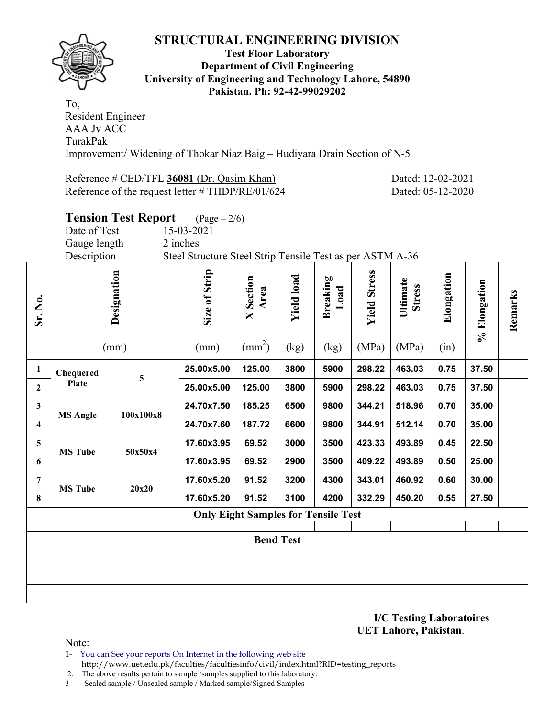

#### **Test Floor Laboratory Department of Civil Engineering University of Engineering and Technology Lahore, 54890 Pakistan. Ph: 92-42-99029202**

To, Resident Engineer AAA Jv ACC TurakPak Improvement/ Widening of Thokar Niaz Baig – Hudiyara Drain Section of N-5

Reference # CED/TFL 36081 (Dr. Qasim Khan) Dated: 12-02-2021 Reference of the request letter # THDP/RE/01/624 Dated: 05-12-2020

|              |                  | <b>Tension Test Report</b> | $(Page - 2/6)$                                            |                          |                   |                         |                     |                           |            |              |         |
|--------------|------------------|----------------------------|-----------------------------------------------------------|--------------------------|-------------------|-------------------------|---------------------|---------------------------|------------|--------------|---------|
|              | Date of Test     |                            | 15-03-2021                                                |                          |                   |                         |                     |                           |            |              |         |
|              | Gauge length     |                            | 2 inches                                                  |                          |                   |                         |                     |                           |            |              |         |
|              | Description      |                            | Steel Structure Steel Strip Tensile Test as per ASTM A-36 |                          |                   |                         |                     |                           |            |              |         |
| Sr. No.      |                  | Designation                | Size of Strip                                             | <b>X</b> Section<br>Area | <b>Yield load</b> | <b>Breaking</b><br>Load | <b>Yield Stress</b> | Ultimate<br><b>Stress</b> | Elongation | % Elongation | Remarks |
|              |                  | (mm)                       | (mm)                                                      | $\text{(mm}^2)$          | (kg)              | (kg)                    | (MPa)               | (MPa)                     | (in)       |              |         |
| $\mathbf{1}$ | <b>Chequered</b> | $\overline{\mathbf{5}}$    | 25.00x5.00                                                | 125.00                   | 3800              | 5900                    | 298.22              | 463.03                    | 0.75       | 37.50        |         |
| $\mathbf{2}$ | <b>Plate</b>     |                            | 25.00x5.00                                                | 125.00                   | 3800              | 5900                    | 298.22              | 463.03                    | 0.75       | 37.50        |         |
| 3            | <b>MS Angle</b>  | 100x100x8                  | 24.70x7.50                                                | 185.25                   | 6500              | 9800                    | 344.21              | 518.96                    | 0.70       | 35.00        |         |
| 4            |                  |                            | 24.70x7.60                                                | 187.72                   | 6600              | 9800                    | 344.91              | 512.14                    | 0.70       | 35.00        |         |
| 5            | <b>MS Tube</b>   | 50x50x4                    | 17.60x3.95                                                | 69.52                    | 3000              | 3500                    | 423.33              | 493.89                    | 0.45       | 22.50        |         |
| 6            |                  |                            | 17.60x3.95                                                | 69.52                    | 2900              | 3500                    | 409.22              | 493.89                    | 0.50       | 25.00        |         |
| 7            | <b>MS Tube</b>   | 20x20                      | 17.60x5.20                                                | 91.52                    | 3200              | 4300                    | 343.01              | 460.92                    | 0.60       | 30.00        |         |
| 8            |                  |                            | 17.60x5.20                                                | 91.52                    | 3100              | 4200                    | 332.29              | 450.20                    | 0.55       | 27.50        |         |
|              |                  |                            | <b>Only Eight Samples for Tensile Test</b>                |                          |                   |                         |                     |                           |            |              |         |
|              |                  |                            |                                                           |                          |                   |                         |                     |                           |            |              |         |
|              |                  |                            |                                                           |                          | <b>Bend Test</b>  |                         |                     |                           |            |              |         |
|              |                  |                            |                                                           |                          |                   |                         |                     |                           |            |              |         |
|              |                  |                            |                                                           |                          |                   |                         |                     |                           |            |              |         |
|              |                  |                            |                                                           |                          |                   |                         |                     |                           |            |              |         |
|              |                  |                            |                                                           |                          |                   |                         |                     |                           |            |              |         |

**I/C Testing Laboratoires UET Lahore, Pakistan**.

Note:

- 1- You can See your reports On Internet in the following web site http://www.uet.edu.pk/faculties/facultiesinfo/civil/index.html?RID=testing\_reports
- 2. The above results pertain to sample /samples supplied to this laboratory.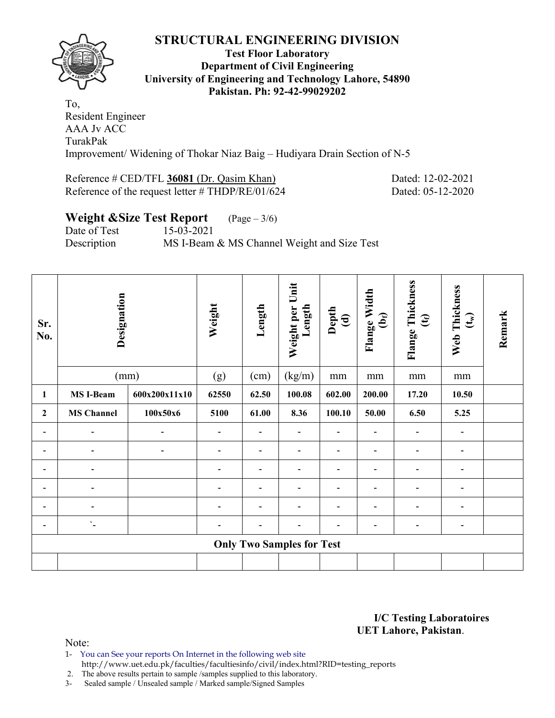

#### **Test Floor Laboratory Department of Civil Engineering University of Engineering and Technology Lahore, 54890 Pakistan. Ph: 92-42-99029202**

To, Resident Engineer AAA Jv ACC TurakPak Improvement/ Widening of Thokar Niaz Baig – Hudiyara Drain Section of N-5

#### Reference # CED/TFL 36081 (Dr. Qasim Khan) Dated: 12-02-2021 Reference of the request letter # THDP/RE/01/624 Dated: 05-12-2020

# **Weight &Size Test Report** (Page – 3/6)

Date of Test 15-03-2021 Description MS I-Beam & MS Channel Weight and Size Test

| Sr.<br>No.     | Designation                |               | Weight | Length         | Weight per Unit<br>Length        | Depth<br>(d)   | Flange Width<br>$\mathbf{\hat{e}}$ | Flange Thickness<br>$\mathfrak{E}$ | Web Thickness<br>$\mathbf{t}$ | Remark |
|----------------|----------------------------|---------------|--------|----------------|----------------------------------|----------------|------------------------------------|------------------------------------|-------------------------------|--------|
|                |                            | (mm)          | (g)    | (cm)           | (kg/m)                           | mm             | $\rm mm$                           | mm                                 | mm                            |        |
| 1              | <b>MS I-Beam</b>           | 600x200x11x10 | 62550  | 62.50          | 100.08                           | 602.00         | 200.00                             | 17.20                              | 10.50                         |        |
| $\mathbf{2}$   | <b>MS Channel</b>          | 100x50x6      |        | 61.00          | 8.36                             | 100.10         | 50.00                              | 6.50                               | 5.25                          |        |
| $\blacksquare$ |                            |               |        |                |                                  |                |                                    |                                    | $\qquad \qquad \blacksquare$  |        |
| $\blacksquare$ |                            |               |        | $\blacksquare$ | $\blacksquare$                   | $\blacksquare$ | -                                  | $\overline{a}$                     | $\overline{\phantom{a}}$      |        |
| $\blacksquare$ |                            |               |        |                |                                  |                |                                    |                                    | $\overline{\phantom{0}}$      |        |
|                |                            |               |        |                |                                  |                |                                    |                                    | $\blacksquare$                |        |
| $\blacksquare$ |                            |               |        | $\blacksquare$ | $\blacksquare$                   | $\blacksquare$ | $\equiv$                           | $\blacksquare$                     | $\overline{a}$                |        |
| $\blacksquare$ | $\mathcal{L}_{\mathbf{m}}$ |               |        |                |                                  |                | -                                  | $\blacksquare$                     | $\overline{\phantom{a}}$      |        |
|                |                            |               |        |                | <b>Only Two Samples for Test</b> |                |                                    |                                    |                               |        |
|                |                            |               |        |                |                                  |                |                                    |                                    |                               |        |

**I/C Testing Laboratoires UET Lahore, Pakistan**.

Note:

1- You can See your reports On Internet in the following web site http://www.uet.edu.pk/faculties/facultiesinfo/civil/index.html?RID=testing\_reports

2. The above results pertain to sample /samples supplied to this laboratory.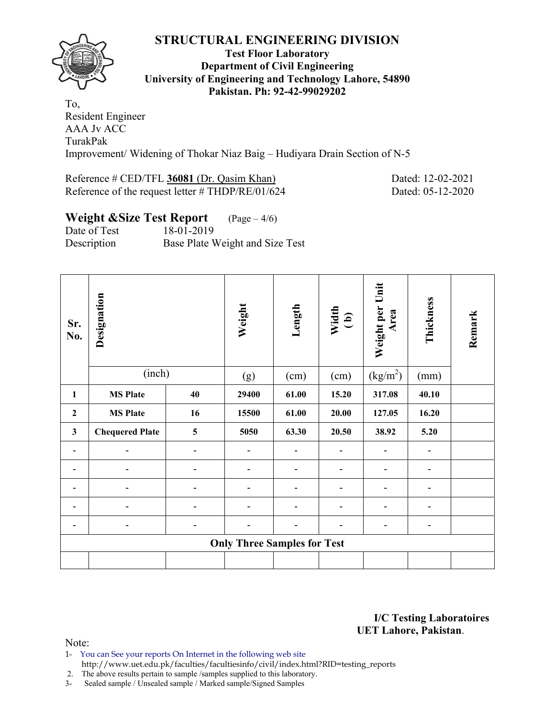

#### **Test Floor Laboratory Department of Civil Engineering University of Engineering and Technology Lahore, 54890 Pakistan. Ph: 92-42-99029202**

To, Resident Engineer AAA Jv ACC TurakPak Improvement/ Widening of Thokar Niaz Baig – Hudiyara Drain Section of N-5

#### Reference # CED/TFL 36081 (Dr. Qasim Khan) Dated: 12-02-2021 Reference of the request letter # THDP/RE/01/624 Dated: 05-12-2020

# **Weight &Size Test Report** (Page – 4/6)

Date of Test 18-01-2019 Description Base Plate Weight and Size Test

| Sr.<br>No.     | Designation            |    | Weight                             | Length                   | Width<br>(b) | Weight per Unit<br>Area | Thickness      | Remark |
|----------------|------------------------|----|------------------------------------|--------------------------|--------------|-------------------------|----------------|--------|
|                | (inch)                 |    | (g)                                | (cm)                     | (cm)         | (kg/m <sup>2</sup> )    | (mm)           |        |
| 1              | <b>MS Plate</b>        | 40 | 29400                              | 61.00                    | 15.20        | 317.08                  | 40.10          |        |
| $\overline{2}$ | <b>MS Plate</b>        | 16 | 15500                              | 61.00                    | 20.00        | 127.05                  | 16.20          |        |
| $\mathbf{3}$   | <b>Chequered Plate</b> | 5  | 5050                               | 63.30                    | 20.50        | 38.92                   | 5.20           |        |
| -              | $\blacksquare$         |    | ۰                                  | ۰                        |              |                         | -              |        |
|                |                        |    |                                    |                          |              |                         |                |        |
|                |                        |    |                                    | $\overline{\phantom{0}}$ |              |                         |                |        |
|                |                        |    |                                    | ۰                        | -            |                         | $\blacksquare$ |        |
|                |                        |    |                                    |                          |              |                         | $\blacksquare$ |        |
|                |                        |    | <b>Only Three Samples for Test</b> |                          |              |                         |                |        |
|                |                        |    |                                    |                          |              |                         |                |        |

**I/C Testing Laboratoires UET Lahore, Pakistan**.

Note:

1- You can See your reports On Internet in the following web site http://www.uet.edu.pk/faculties/facultiesinfo/civil/index.html?RID=testing\_reports

2. The above results pertain to sample /samples supplied to this laboratory.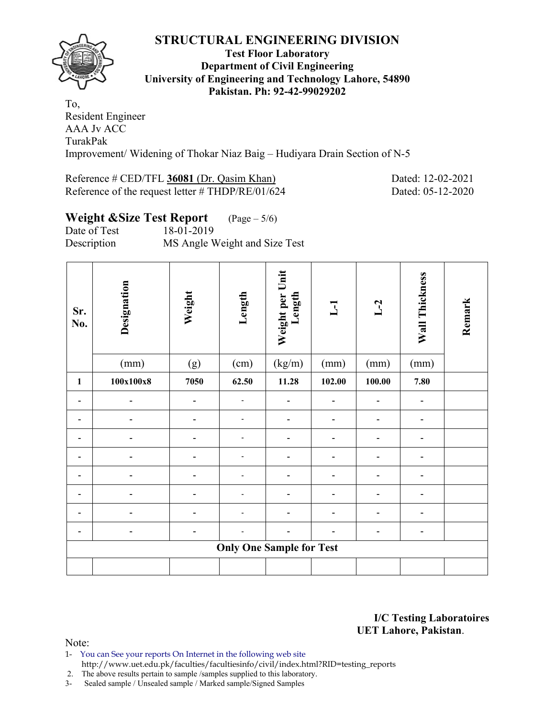

#### **Test Floor Laboratory Department of Civil Engineering University of Engineering and Technology Lahore, 54890 Pakistan. Ph: 92-42-99029202**

To, Resident Engineer AAA Jv ACC TurakPak Improvement/ Widening of Thokar Niaz Baig – Hudiyara Drain Section of N-5

# Reference # CED/TFL 36081 (Dr. Qasim Khan) Dated: 12-02-2021

Reference of the request letter # THDP/RE/01/624 Dated: 05-12-2020

## **Weight &Size Test Report** (Page – 5/6) Date of Test 18-01-2019

Description MS Angle Weight and Size Test

| Sr.<br>No. | Designation | Weight | Length                          | Weight per Unit<br>Length | L1     | $L-2$  | Wall Thickness | Remark |
|------------|-------------|--------|---------------------------------|---------------------------|--------|--------|----------------|--------|
|            | (mm)        | (g)    | (cm)                            | (kg/m)                    | (mm)   | (mm)   | (mm)           |        |
| 1          | 100x100x8   | 7050   | 62.50                           | 11.28                     | 102.00 | 100.00 | 7.80           |        |
|            |             |        |                                 |                           |        |        |                |        |
|            |             |        |                                 |                           |        |        |                |        |
|            |             |        |                                 |                           |        |        |                |        |
|            |             | -      | $\overline{\phantom{a}}$        |                           |        |        |                |        |
|            |             |        |                                 |                           |        |        |                |        |
|            |             |        |                                 |                           |        |        |                |        |
|            |             |        |                                 |                           |        |        |                |        |
|            |             |        |                                 |                           |        |        |                |        |
|            |             |        | <b>Only One Sample for Test</b> |                           |        |        |                |        |
|            |             |        |                                 |                           |        |        |                |        |

**I/C Testing Laboratoires UET Lahore, Pakistan**.

Note:

1- You can See your reports On Internet in the following web site http://www.uet.edu.pk/faculties/facultiesinfo/civil/index.html?RID=testing\_reports

2. The above results pertain to sample /samples supplied to this laboratory.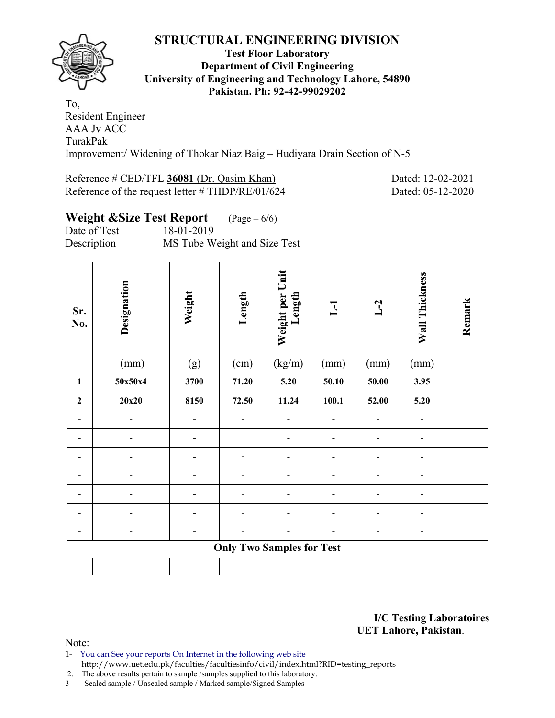

#### **Test Floor Laboratory Department of Civil Engineering University of Engineering and Technology Lahore, 54890 Pakistan. Ph: 92-42-99029202**

To, Resident Engineer AAA Jv ACC TurakPak Improvement/ Widening of Thokar Niaz Baig – Hudiyara Drain Section of N-5

# Reference # CED/TFL 36081 (Dr. Qasim Khan) Dated: 12-02-2021

# Reference of the request letter # THDP/RE/01/624 Dated: 05-12-2020

## **Weight &Size Test Report** (Page – 6/6)

Date of Test 18-01-2019 Description MS Tube Weight and Size Test

| Sr.<br>No.     | Designation | Weight                   | Length                           | Weight per Unit<br>Length | $\overline{\mathbf{L}}$ | $L-2$ | Wall Thickness | Remark |
|----------------|-------------|--------------------------|----------------------------------|---------------------------|-------------------------|-------|----------------|--------|
|                | (mm)        | (g)                      | (cm)                             | (kg/m)                    | (mm)                    | (mm)  | (mm)           |        |
| $\mathbf{1}$   | 50x50x4     | 3700                     | 71.20                            | 5.20                      | 50.10                   | 50.00 | 3.95           |        |
| $\overline{2}$ | 20x20       | 8150                     | 72.50                            | 11.24                     | 100.1                   | 52.00 | 5.20           |        |
|                |             | $\overline{\phantom{0}}$ |                                  |                           |                         |       | -              |        |
|                |             | -                        | -                                | -                         | -                       | -     | -              |        |
|                |             | $\blacksquare$           | -                                | -                         | -                       | -     | $\blacksquare$ |        |
|                |             |                          |                                  |                           |                         | ۰     | ۰              |        |
|                |             |                          |                                  |                           |                         |       |                |        |
|                |             |                          |                                  |                           | -                       |       | -              |        |
|                |             |                          |                                  |                           |                         |       |                |        |
|                |             |                          | <b>Only Two Samples for Test</b> |                           |                         |       |                |        |
|                |             |                          |                                  |                           |                         |       |                |        |

**I/C Testing Laboratoires UET Lahore, Pakistan**.

- 1- You can See your reports On Internet in the following web site http://www.uet.edu.pk/faculties/facultiesinfo/civil/index.html?RID=testing\_reports
- 2. The above results pertain to sample /samples supplied to this laboratory.
- 3- Sealed sample / Unsealed sample / Marked sample/Signed Samples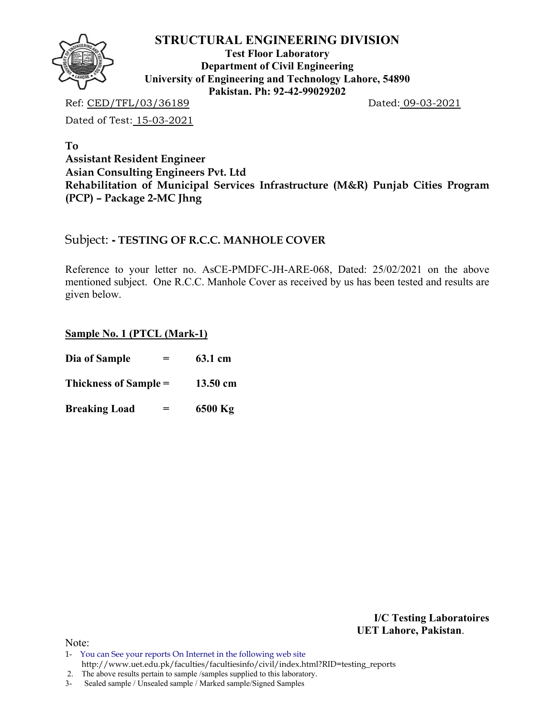

**Test Floor Laboratory Department of Civil Engineering University of Engineering and Technology Lahore, 54890 Pakistan. Ph: 92-42-99029202** 

Ref: CED/TFL/03/36189 Dated: 09-03-2021

Dated of Test: 15-03-2021

**To Assistant Resident Engineer Asian Consulting Engineers Pvt. Ltd Rehabilitation of Municipal Services Infrastructure (M&R) Punjab Cities Program (PCP) – Package 2-MC Jhng** 

### Subject: **- TESTING OF R.C.C. MANHOLE COVER**

Reference to your letter no. AsCE-PMDFC-JH-ARE-068, Dated: 25/02/2021 on the above mentioned subject. One R.C.C. Manhole Cover as received by us has been tested and results are given below.

#### **Sample No. 1 (PTCL (Mark-1)**

| Dia of Sample<br>=        | 63.1 cm  |
|---------------------------|----------|
| Thickness of Sample =     | 13.50 cm |
| <b>Breaking Load</b><br>= | 6500 Kg  |

**I/C Testing Laboratoires UET Lahore, Pakistan**.

 <sup>2.</sup> The above results pertain to sample /samples supplied to this laboratory.

<sup>3-</sup> Sealed sample / Unsealed sample / Marked sample/Signed Samples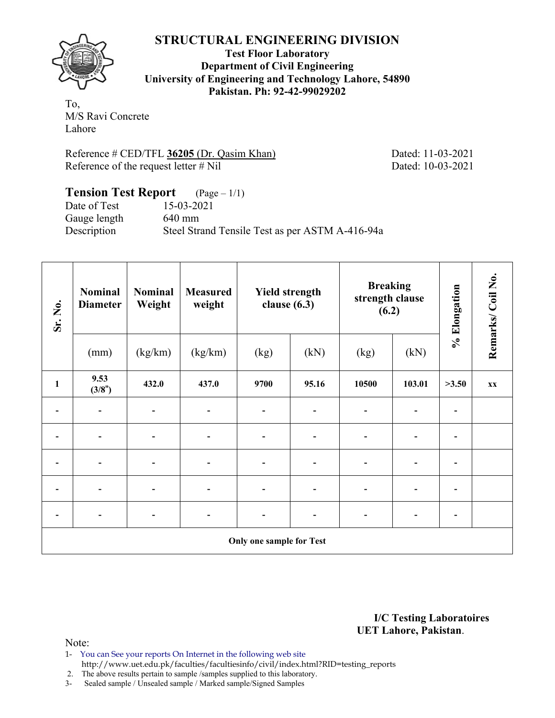

**Test Floor Laboratory Department of Civil Engineering University of Engineering and Technology Lahore, 54890 Pakistan. Ph: 92-42-99029202** 

To, M/S Ravi Concrete Lahore

Reference # CED/TFL 36205 (Dr. Qasim Khan) Dated: 11-03-2021 Reference of the request letter # Nil Dated: 10-03-2021

#### **Tension Test Report** (Page – 1/1) Date of Test 15-03-2021 Gauge length 640 mm Description Steel Strand Tensile Test as per ASTM A-416-94a

| Sr. No.                      | <b>Nominal</b><br><b>Diameter</b> | <b>Nominal</b><br>Weight | <b>Measured</b><br>weight | <b>Yield strength</b><br>clause $(6.3)$ |                | <b>Breaking</b><br>strength clause<br>(6.2) |                | % Elongation             | Remarks/Coil No. |
|------------------------------|-----------------------------------|--------------------------|---------------------------|-----------------------------------------|----------------|---------------------------------------------|----------------|--------------------------|------------------|
|                              | (mm)                              | (kg/km)                  | (kg/km)                   | (kg)                                    | (kN)           | (kg)                                        | (kN)           |                          |                  |
| $\mathbf{1}$                 | 9.53<br>(3/8")                    | 432.0                    | 437.0                     | 9700                                    | 95.16          | 10500                                       | 103.01         | >3.50                    | <b>XX</b>        |
| $\qquad \qquad \blacksquare$ | $\blacksquare$                    |                          |                           |                                         | -              |                                             |                | $\blacksquare$           |                  |
|                              |                                   |                          |                           |                                         |                |                                             |                |                          |                  |
| -                            |                                   |                          |                           |                                         | -              |                                             |                |                          |                  |
| $\overline{\phantom{0}}$     |                                   |                          |                           |                                         | -              |                                             |                | -                        |                  |
| $\overline{\phantom{a}}$     | $\overline{\phantom{0}}$          |                          | $\overline{\phantom{a}}$  |                                         | $\overline{a}$ | $\overline{\phantom{0}}$                    | $\overline{a}$ | $\overline{\phantom{a}}$ |                  |
|                              |                                   |                          |                           | Only one sample for Test                |                |                                             |                |                          |                  |

**I/C Testing Laboratoires UET Lahore, Pakistan**.

- 1- You can See your reports On Internet in the following web site http://www.uet.edu.pk/faculties/facultiesinfo/civil/index.html?RID=testing\_reports
- 2. The above results pertain to sample /samples supplied to this laboratory.
- 3- Sealed sample / Unsealed sample / Marked sample/Signed Samples

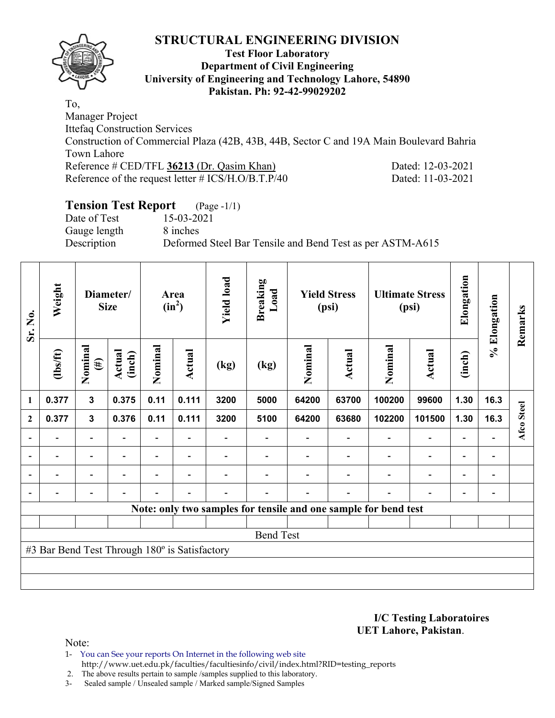

#### **Test Floor Laboratory Department of Civil Engineering University of Engineering and Technology Lahore, 54890 Pakistan. Ph: 92-42-99029202**

To, Manager Project Ittefaq Construction Services Construction of Commercial Plaza (42B, 43B, 44B, Sector C and 19A Main Boulevard Bahria Town Lahore Reference # CED/TFL 36213 (Dr. Qasim Khan) Dated: 12-03-2021 Reference of the request letter # ICS/H.O/B.T.P/40 Dated: 11-03-2021

## **Tension Test Report** (Page -1/1)

Date of Test 15-03-2021 Gauge length 8 inches

Description Deformed Steel Bar Tensile and Bend Test as per ASTM-A615

| Sr. No.                  | Weight                                        |                          | Diameter/<br><b>Size</b> |                | Area<br>$(in^2)$ | <b>Yield load</b> | <b>Breaking</b><br>Load<br><b>Yield Stress</b><br><b>Ultimate Stress</b><br>(psi)<br>(psi) |                                                                 | Elongation    | % Elongation | Remarks                  |                              |                              |            |
|--------------------------|-----------------------------------------------|--------------------------|--------------------------|----------------|------------------|-------------------|--------------------------------------------------------------------------------------------|-----------------------------------------------------------------|---------------|--------------|--------------------------|------------------------------|------------------------------|------------|
|                          | $\frac{2}{10}$                                | Nominal<br>$(\#)$        | Actual<br>(inch)         | Nominal        | Actual           | (kg)              | (kg)                                                                                       | Nominal                                                         | <b>Actual</b> | Nominal      | Actual                   | (inch)                       |                              |            |
| $\mathbf{1}$             | 0.377                                         | 3                        | 0.375                    | 0.11           | 0.111            | 3200              | 5000                                                                                       | 64200                                                           | 63700         | 100200       | 99600                    | 1.30                         | 16.3                         |            |
| $\mathbf{2}$             | 0.377                                         | $\mathbf{3}$             | 0.376                    | 0.11           | 0.111            | 3200              | 5100                                                                                       | 64200                                                           | 63680         | 102200       | 101500                   | 1.30                         | 16.3                         | Afco Steel |
| $\overline{\phantom{0}}$ |                                               |                          |                          |                |                  |                   |                                                                                            |                                                                 |               |              |                          |                              |                              |            |
| $\overline{\phantom{a}}$ |                                               | $\overline{\phantom{a}}$ | $\overline{\phantom{0}}$ |                | $\blacksquare$   |                   |                                                                                            |                                                                 |               |              | $\overline{\phantom{0}}$ | $\qquad \qquad \blacksquare$ | $\qquad \qquad \blacksquare$ |            |
| $\blacksquare$           | ۰                                             | $\blacksquare$           |                          | $\blacksquare$ | $\blacksquare$   |                   |                                                                                            |                                                                 |               |              | $\overline{\phantom{0}}$ | $\overline{\phantom{0}}$     | $\overline{a}$               |            |
|                          |                                               |                          | $\overline{\phantom{0}}$ |                | $\blacksquare$   |                   |                                                                                            |                                                                 |               |              |                          | $\overline{\phantom{0}}$     |                              |            |
|                          |                                               |                          |                          |                |                  |                   |                                                                                            | Note: only two samples for tensile and one sample for bend test |               |              |                          |                              |                              |            |
|                          |                                               |                          |                          |                |                  |                   |                                                                                            |                                                                 |               |              |                          |                              |                              |            |
|                          |                                               |                          |                          |                |                  |                   | <b>Bend Test</b>                                                                           |                                                                 |               |              |                          |                              |                              |            |
|                          | #3 Bar Bend Test Through 180° is Satisfactory |                          |                          |                |                  |                   |                                                                                            |                                                                 |               |              |                          |                              |                              |            |
|                          |                                               |                          |                          |                |                  |                   |                                                                                            |                                                                 |               |              |                          |                              |                              |            |
|                          |                                               |                          |                          |                |                  |                   |                                                                                            |                                                                 |               |              |                          |                              |                              |            |

**I/C Testing Laboratoires UET Lahore, Pakistan**.

Note:

1- You can See your reports On Internet in the following web site http://www.uet.edu.pk/faculties/facultiesinfo/civil/index.html?RID=testing\_reports

2. The above results pertain to sample /samples supplied to this laboratory.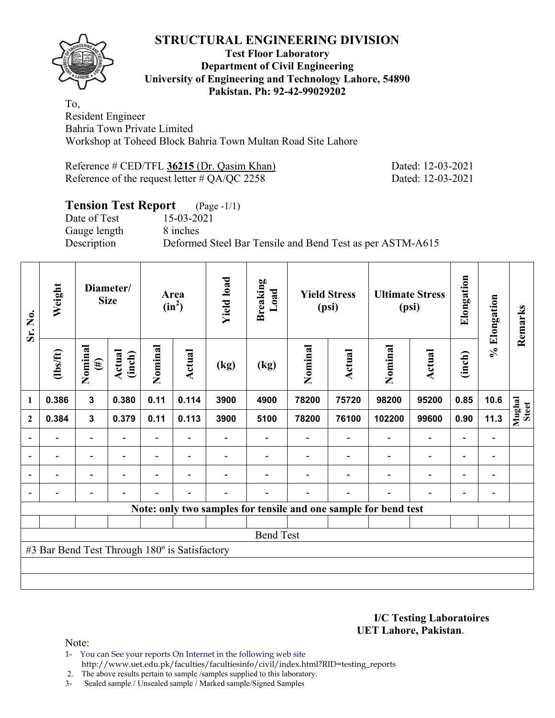

#### **Test Floor Laboratory Department of Civil Engineering University of Engineering and Technology Lahore, 54890 Pakistan. Ph: 92-42-99029202**

To, Resident Engineer Bahria Town Private Limited Workshop at Toheed Block Bahria Town Multan Road Site Lahore

| Reference # CED/TFL 36215 (Dr. Qasim Khan)      |  |
|-------------------------------------------------|--|
| Reference of the request letter $\#$ QA/QC 2258 |  |

Dated: 12-03-2021 Dated: 12-03-2021

## **Tension Test Report** (Page -1/1)

Date of Test 15-03-2021 Gauge length 8 inches

Description Deformed Steel Bar Tensile and Bend Test as per ASTM-A615

| Sr. No.                  | Weight                                        |                          | Diameter/<br><b>Size</b> |                          | Area<br>$(in^2)$         | <b>Yield load</b> | <b>Breaking</b><br>Load |         | <b>Yield Stress</b><br>(psi) |                                                                 | <b>Ultimate Stress</b><br>(psi) | Elongation               | % Elongation                 | Remarks         |
|--------------------------|-----------------------------------------------|--------------------------|--------------------------|--------------------------|--------------------------|-------------------|-------------------------|---------|------------------------------|-----------------------------------------------------------------|---------------------------------|--------------------------|------------------------------|-----------------|
|                          | $\frac{2}{10}$                                | Nominal<br>$(\#)$        | Actual<br>(inch)         | Nominal                  | Actual                   | (kg)              | (kg)                    | Nominal | <b>Actual</b>                | Nominal                                                         | Actual                          | (inch)                   |                              |                 |
| 1                        | 0.386                                         | $\mathbf{3}$             | 0.380                    | 0.11                     | 0.114                    | 3900              | 4900                    | 78200   | 75720                        | 98200                                                           | 95200                           | 0.85                     | 10.6                         |                 |
| $\mathbf{2}$             | 0.384                                         | $\mathbf{3}$             | 0.379                    | 0.11                     | 0.113                    | 3900              | 5100                    | 78200   | 76100                        | 102200                                                          | 99600                           | 0.90                     | 11.3                         | Mughal<br>Steet |
|                          |                                               |                          |                          |                          |                          |                   |                         |         |                              |                                                                 | $\overline{\phantom{0}}$        | $\overline{\phantom{0}}$ |                              |                 |
| $\overline{\phantom{0}}$ | $\overline{\phantom{0}}$                      | $\overline{\phantom{a}}$ | $\overline{\phantom{0}}$ | $\overline{\phantom{0}}$ | $\blacksquare$           |                   |                         |         | $\blacksquare$               | $\blacksquare$                                                  | $\overline{a}$                  | $\overline{\phantom{a}}$ | $\overline{\phantom{a}}$     |                 |
|                          | $\overline{\phantom{0}}$                      | $\overline{\phantom{0}}$ |                          | $\blacksquare$           | $\overline{\phantom{0}}$ |                   |                         |         |                              | $\overline{\phantom{0}}$                                        | $\qquad \qquad \blacksquare$    | $\overline{\phantom{0}}$ | $\qquad \qquad \blacksquare$ |                 |
|                          | $\overline{\phantom{0}}$                      | $\overline{\phantom{a}}$ |                          | $\blacksquare$           | $\overline{\phantom{0}}$ | $\blacksquare$    |                         |         | $\blacksquare$               | $\blacksquare$                                                  | $\overline{a}$                  | $\overline{\phantom{a}}$ | $\overline{\phantom{0}}$     |                 |
|                          |                                               |                          |                          |                          |                          |                   |                         |         |                              | Note: only two samples for tensile and one sample for bend test |                                 |                          |                              |                 |
|                          |                                               |                          |                          |                          |                          |                   |                         |         |                              |                                                                 |                                 |                          |                              |                 |
|                          |                                               |                          |                          |                          |                          |                   | <b>Bend Test</b>        |         |                              |                                                                 |                                 |                          |                              |                 |
|                          | #3 Bar Bend Test Through 180° is Satisfactory |                          |                          |                          |                          |                   |                         |         |                              |                                                                 |                                 |                          |                              |                 |
|                          |                                               |                          |                          |                          |                          |                   |                         |         |                              |                                                                 |                                 |                          |                              |                 |
|                          |                                               |                          |                          |                          |                          |                   |                         |         |                              |                                                                 |                                 |                          |                              |                 |

**I/C Testing Laboratoires UET Lahore, Pakistan**.

- 1- You can See your reports On Internet in the following web site http://www.uet.edu.pk/faculties/facultiesinfo/civil/index.html?RID=testing\_reports
- 2. The above results pertain to sample /samples supplied to this laboratory.
- 3- Sealed sample / Unsealed sample / Marked sample/Signed Samples